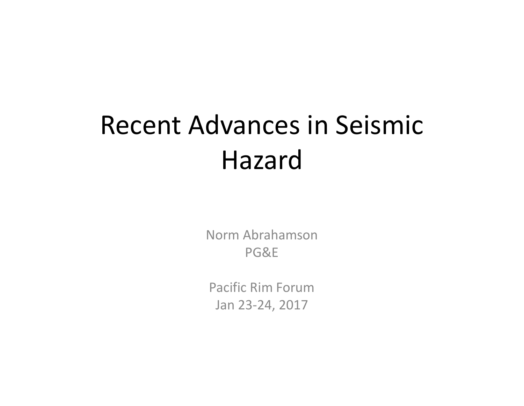# Recent Advances in Seismic Hazard

Norm Abrahamson PG&E

Pacific Rim Forum Jan 23‐24, 2017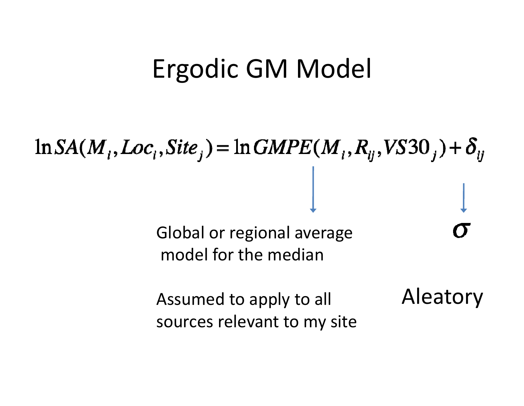### Ergodic GM Model

 $\ln SA(M_i, Loc_i, Site_j) = \ln GMPE(M_i, R_i, VSS0_j) + \delta_{ij}$ Global or regional average model for the median

> Aleatory Assumed to apply to all sources relevant to my site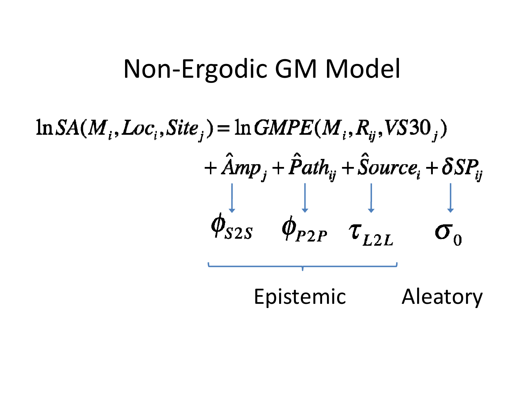### Non-Ergodic GM Model

# $\ln SA(M_i, Loc_i, Site_j) = \ln GMPE(M_i, R_i, VSSO_j)$  $+\hat{A}mp_i+\hat{P}ath_{ij}+\hat{S}ource_i+\delta SP_{ij}$  $\phi_{S2S}$   $\phi_{P2P}$   $\tau_{L2L}$

Epistemic Aleatory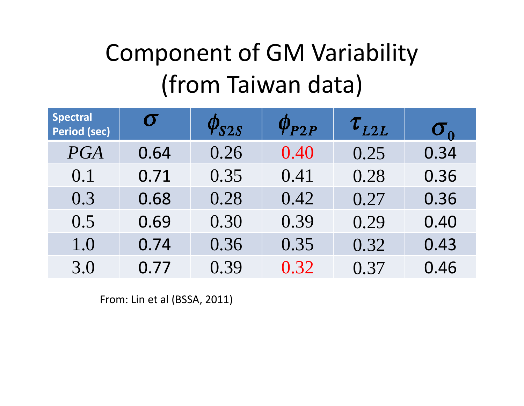### Component of GM Variability (from Taiwan data)

| <b>Spectral</b><br>Period (sec) | $\sigma$ | $\phi_{S2S}$ | $\phi_{P2P}$ | $\tau_{_{L2L}}$ | $\sigma_{\alpha}$ |
|---------------------------------|----------|--------------|--------------|-----------------|-------------------|
| PGA                             | 0.64     | 0.26         | 0.40         | 0.25            | 0.34              |
| 0.1                             | 0.71     | 0.35         | 0.41         | 0.28            | 0.36              |
| 0.3                             | 0.68     | 0.28         | 0.42         | 0.27            | 0.36              |
| 0.5                             | 0.69     | 0.30         | 0.39         | 0.29            | 0.40              |
| 1.0                             | 0.74     | 0.36         | 0.35         | 0.32            | 0.43              |
| 3.0                             | 0.77     | 0.39         | 0.32         | 0.37            | 0.46              |

From: Lin et al (BSSA, 2011)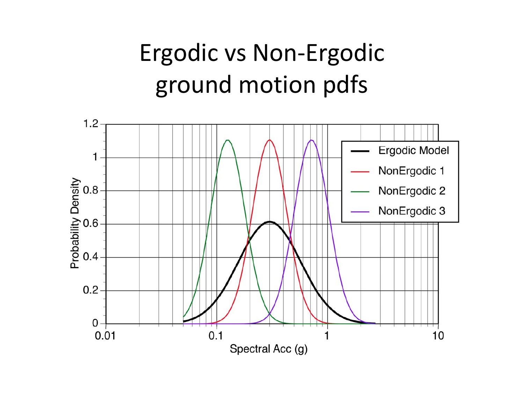### Ergodic vs Non ‐Ergodic ground motion pdfs

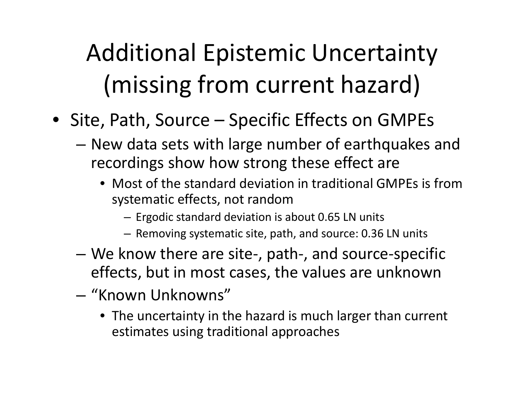### Additional Epistemic Uncertainty (missing from current hazard)

- Site, Path, Source Specific Effects on GMPEs
	- New data sets with large number of earthquakes and recordings show how strong these effect are
		- Most of the standard deviation in traditional GMPEs is fromsystematic effects, not random
			- Ergodic standard deviation is about 0.65 LN units
			- Removing systematic site, path, and source: 0.36 LN units
	- We know there are site‐, path‐, and source‐specific effects, but in most cases, the values are unknown
	- "Known Unknowns"
		- The uncertainty in the hazard is much larger than current estimates using traditional approaches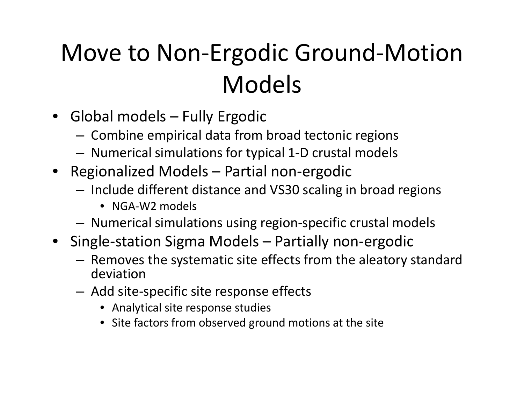### Move to Non‐Ergodic Ground‐Motion Models

- Global models Fully Ergodic
	- – $-$  Combine empirical data from broad tectonic regions
	- –Numerical simulations for typical 1‐D crustal models
- Regionalized Models Partial non‐ergodic
	- – $-$  Include different distance and VS30 scaling in broad regions
		- NGA‐W2 models
	- –Numerical simulations using region‐specific crustal models
- Single‐station Sigma Models Partially non‐ergodic
	- – $-$  Removes the systematic site effects from the aleatory standard deviation
	- Add site‐specific site response effects
		- Analytical site response studies
		- Site factors from observed ground motions at the site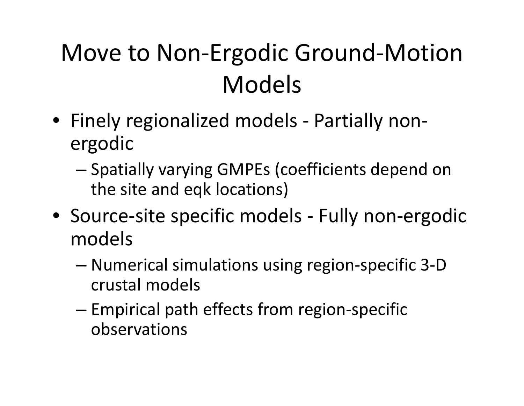### Move to Non‐Ergodic Ground‐Motion Models

- Finely regionalized models ‐ Partially non‐ ergodic
	- Spatially varying GMPEs (coefficients depend on the site and eqk locations)
- Source‐site specific models ‐ Fully non‐ergodic models
	- Numerical simulations using region‐specific 3‐D crustal models
	- – Empirical path effects from region‐specific observations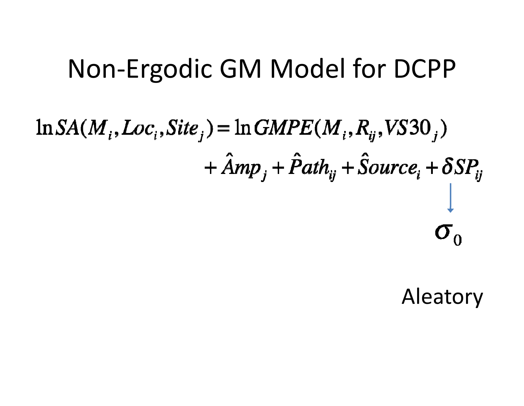### Non-Ergodic GM Model for DCPP

# $\ln SA(M_i, Loc_i, Site_j) = \ln GMPE(M_i, R_i, VSSO_j)$  $+\hat{A}mp_i+\hat{P}ath_{ij}+\hat{S}ource_i+\delta SP_{ij}$  $\sigma_{0}$

Aleatory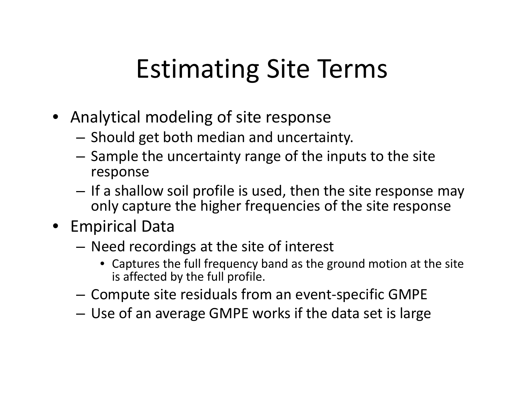## Estimating Site Terms

- Analytical modeling of site response
	- $-$  Should get both median and uncertainty.
	- – $-$  Sample the uncertainty range of the inputs to the site response
	- If <sup>a</sup> shallow soil profile is used, then the site response may only capture the higher frequencies of the site response
- Empirical Data
	- Need recordings at the site of interest
		- Captures the full frequency band as the ground motion at the site is affected by the full profile.
	- $-$  Compute site residuals from an event-specific GMPE
	- –Use of an average GMPE works if the data set is large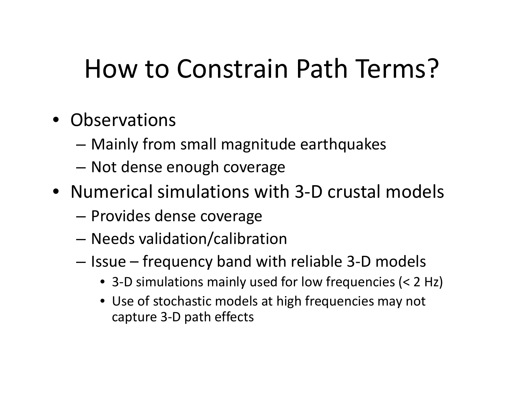### How to Constrain Path Terms?

- Observations
	- –Mainly from small magnitude earthquakes
	- –Not dense enough coverage
- Numerical simulations with 3‐D crustal models
	- –**- Provides dense coverage**
	- –Needs validation/calibration
	- –– Issue – frequency band with reliable 3-D models
		- 3‐D simulations mainly used for low frequencies (< 2 Hz)
		- Use of stochastic models at high frequencies may not capture 3‐D path effects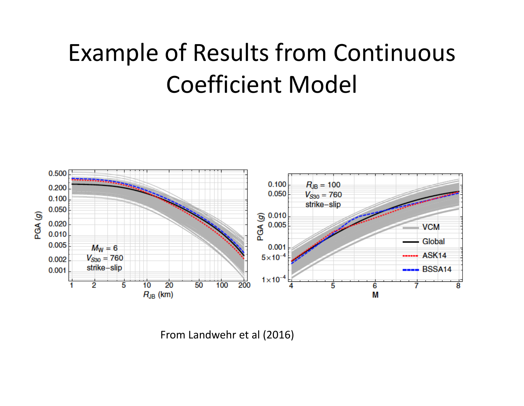### Example of Results from Continuous Coefficient Model



From Landwehr et al (2016)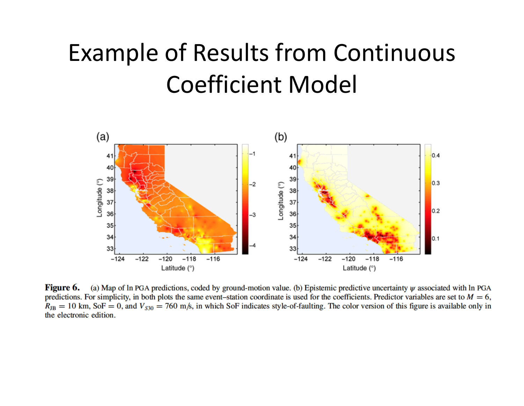### Example of Results from Continuous Coefficient Model



Figure 6. (a) Map of In PGA predictions, coded by ground-motion value. (b) Epistemic predictive uncertainty  $\psi$  associated with In PGA predictions. For simplicity, in both plots the same event-station coordinate is used for the coefficients. Predictor variables are set to  $M = 6$ ,  $R_{\text{JB}} = 10$  km, SoF = 0, and  $V_{\text{S30}} = 760$  m/s, in which SoF indicates style-of-faulting. The color version of this figure is available only in the electronic edition.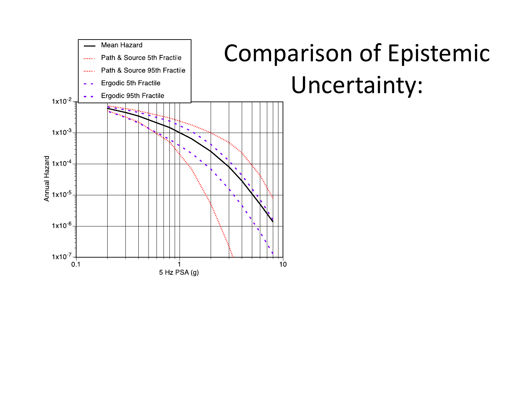

## Comparison of Epistemic Uncertainty: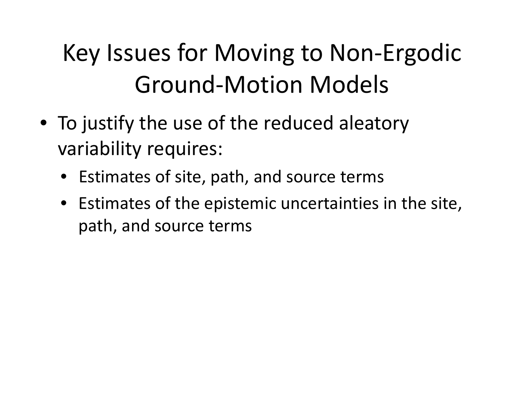### Key Issues for Moving to Non‐Ergodic Ground‐Motion Models

- To justify the use of the reduced aleatory variability requires:
	- •Estimates of site, path, and source terms
	- Estimates of the epistemic uncertainties in the site, path, and source terms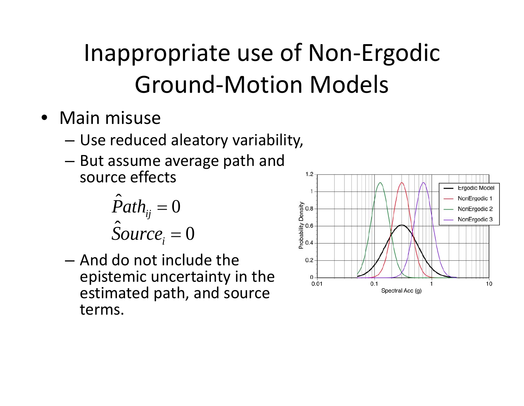### Inappropriate use of Non-Ergodic **Ground-Motion Models**

- Main misuse
	- Use reduced aleatory variability,
	- But assume average path and source effects

$$
\hat{P}ath_{ij} = 0
$$
  

$$
\hat{S}ource_i = 0
$$

- And do not include the epistemic uncertainty in the estimated path, and source terms.

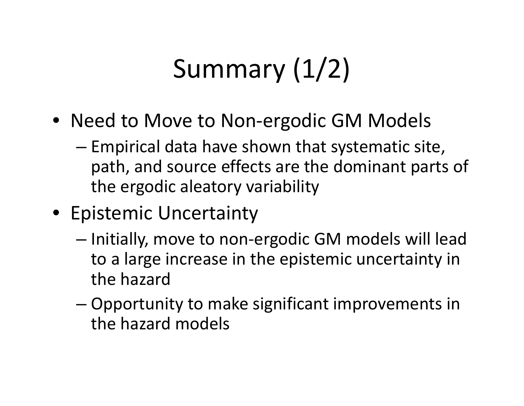# Summary (1/2)

- Need to Move to Non‐ergodic GM Models
	- Empirical data have shown that systematic site, path, and source effects are the dominant parts of the ergodic aleatory variability
- Epistemic Uncertainty
	- –— Initially, move to non-ergodic GM models will lead to <sup>a</sup> large increase in the epistemic uncertainty in the hazard
	- – Opportunity to make significant improvements in the hazard models